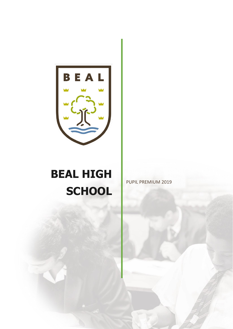

# **BEAL HIGH SCHOOL**

PUPIL PREMIUM 2019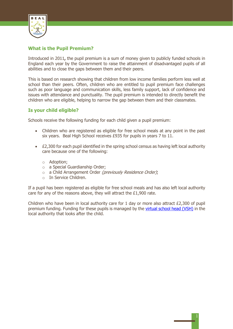

# **What is the Pupil Premium?**

Introduced in 2011**,** the pupil premium is a sum of money given to publicly funded schools in England each year by the Government to raise the attainment of disadvantaged pupils of all abilities and to close the gaps between them and their peers.

This is based on research showing that children from low income families perform less well at school than their peers. Often, children who are entitled to pupil premium face challenges such as poor language and communication skills, less family support, lack of confidence and issues with attendance and punctuality. The pupil premium is intended to directly benefit the children who are eligible, helping to narrow the gap between them and their classmates.

# **Is your child eligible?**

Schools receive the following funding for each child given a pupil premium:

- Children who are registered as eligible for free school meals at any point in the past six years. Beal High School receives £935 for pupils in years 7 to 11.
- £2,300 for each pupil identified in the spring school census as having left local authority care because one of the following:
	- o Adoption;
	- o a Special Guardianship Order;
	- o a Child Arrangement Order (previously Residence Order);
	- o In Service Children.

If a pupil has been registered as eligible for free school meals and has also left local authority care for any of the reasons above, they will attract the £1,900 rate.

Children who have been in local authority care for 1 day or more also attract £2,300 of pupil premium funding. Funding for these pupils is managed by the [virtual school head \(VSH\)](https://www.gov.uk/pupil-premium-virtual-school-heads-responsibilities) in the local authority that looks after the child.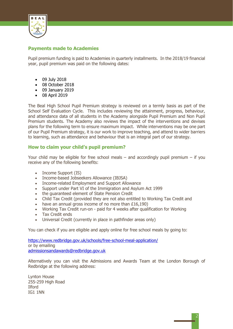

# **Payments made to Academies**

Pupil premium funding is paid to Academies in quarterly installments. In the 2018/19 financial year, pupil premium was paid on the following dates:

- 09 July 2018
- 08 October 2018
- 09 January 2019
- 08 April 2019

The Beal High School Pupil Premium strategy is reviewed on a termly basis as part of the School Self Evaluation Cycle. This includes reviewing the attainment, progress, behaviour, and attendance data of all students in the Academy alongside Pupil Premium and Non Pupil Premium students. The Academy also reviews the impact of the interventions and devises plans for the following term to ensure maximum impact. While interventions may be one part of our Pupil Premium strategy, it is our work to improve teaching, and attend to wider barriers to learning, such as attendance and behaviour that is an integral part of our strategy.

# **How to claim your child's pupil premium?**

Your child may be eligible for free school meals – and accordingly pupil premium – if you receive any of the following benefits:

- Income Support (IS)
- Income-based Jobseekers Allowance (IBJSA)
- Income-related Employment and Support Allowance
- Support under Part VI of the Immigration and Asylum Act 1999
- the guaranteed element of State Pension Credit
- Child Tax Credit (provided they are not also entitled to Working Tax Credit and
- have an annual gross income of no more than £16,190)
- Working Tax Credit run-on paid for 4 weeks after qualification for Working
- Tax Credit ends
- Universal Credit (currently in place in pathfinder areas only)

You can check if you are eligible and apply online for free school meals by going to:

<https://www.redbridge.gov.uk/schools/free-school-meal-application/> or by emailing [admissionsandawards@redbridge.gov.uk](mailto:admissionsandawards@redbridge.gov.uk)

Alternatively you can visit the Admissions and Awards Team at the London Borough of Redbridge at the following address:

Lynton House 255-259 High Road Ilford IG1 1NN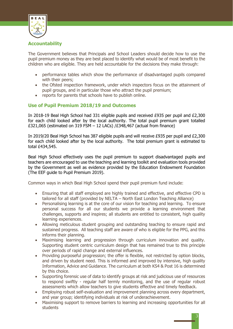

# **Accountability**

The Government believes that Principals and School Leaders should decide how to use the pupil premium money as they are best placed to identify what would be of most benefit to the children who are eligible. They are held accountable for the decisions they make through:

- performance tables which show the performance of disadvantaged pupils compared with their peers;
- the Ofsted inspection framework, under which inspectors focus on the attainment of pupil groups, and in particular those who attract the pupil premium;
- reports for parents that schools have to publish online.

# **Use of Pupil Premium 2018/19 and Outcomes**

In 2018-19 Beal High School had 331 eligible pupils and received £935 per pupil and £2,300 for each child looked after by the local authority. The total pupil premium grant totalled £321,065 (estimated on 319 FSM  $-$  12 LACs) /£348,467 (actual from finance)

In 2019/20 Beal High School has 387 eligible pupils and will receive £935 per pupil and £2,300 for each child looked after by the local authority. The total premium grant is estimated to total £434,545.

Beal High School effectively uses the pupil premium to support disadvantaged pupils and teachers are encouraged to use the teaching and learning toolkit and evaluation tools provided by the Government as well as evidence provided by the Education Endowment Foundation (The EEF guide to Pupil Premium 2019).

Common ways in which Beal High School spend their pupil premium fund include:

- Ensuring that all staff employed are highly trained and effective, and effective CPD is tailored for all staff (provided by NELTA – North East London Teaching Alliance)
- Personalising learning is at the core of our vision for teaching and learning. To ensure personal success for all our students we provide a learning environment that challenges, supports and inspires; all students are entitled to consistent, high quality learning experiences.
- Allowing meticulous student grouping and outstanding teaching to ensure rapid and sustained progress. All teaching staff are aware of who is eligible for the PPG, and this informs their planning.
- Maximising learning and progression through curriculum innovation and quality. Supporting student centric curriculum design that has remained true to this principle over periods of rapid change and external influences.
- Providing purposeful progression; the offer is flexible, not restricted by option blocks, and driven by student need. This is informed and improved by intensive, high quality Information, Advice and Guidance. The curriculum at both KS4 & Post 16 is determined by this choice.
- Supporting forensic use of data to identify groups at risk and judicious use of resources to respond swiftly - regular half termly monitoring, and the use of regular robust assessments which allow teachers to give students effective and timely feedback.
- Employing robust self-evaluation and improvement planning across every department, and year group; identifying individuals at risk of underachievement.
- Maximising support to remove barriers to learning and increasing opportunities for all students

3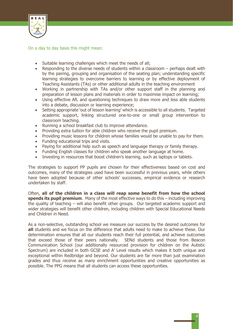

On a day to day basis this might mean:

- Suitable learning challenges which meet the needs of all;
- Responding to the diverse needs of students within a classroom perhaps dealt with by the pairing, grouping and organisation of the seating plan; understanding specific learning strategies to overcome barriers to learning or by effective deployment of Teaching Assistants (TAs) or other additional adults in the teaching environment
- Working in partnership with TAs and/or other support staff in the planning and preparation of lesson plans and materials in order to maximise impact on learning;
- Using effective AfL and questioning techniques to draw more and less able students into a debate, discussion or learning experience;
- Setting appropriate 'out of lesson learning' which is accessible to all students. Targeted academic support, linking structured one-to-one or small group intervention to classroom teaching.
- Running a school breakfast club to improve attendance.
- Providing extra tuition for able children who receive the pupil premium.
- Providing music lessons for children whose families would be unable to pay for them.
- Funding educational trips and visits.
- Paying for additional help such as speech and language therapy or family therapy.
- Funding English classes for children who speak another language at home.
- Investing in resources that boost children's learning, such as laptops or tablets.

The strategies to support PP pupils are chosen for their effectiveness based on cost and outcomes, many of the strategies used have been successful in previous years, while others have been adopted because of other schools' successes, empirical evidence or research undertaken by staff.

Often, **all of the children in a class will reap some benefit from how the school spends its pupil premium**. Many of the most effective ways to do this – including improving the quality of teaching – will also benefit other groups. Our targeted academic support and wider strategies will benefit other children, including children with Special Educational Needs and Children in Need.

As a non-selective, outstanding school we measure our success by the desired outcomes for **all** students and we focus on the difference that adults need to make to achieve these. Our determination ensures that all our students reach their full potential, and achieve outcomes that exceed those of their peers nationally. SENd students and those from Beacon Communication School (our additionally resourced provision for children on the Autistic Spectrum) are included in both GCSE and A' Level results which makes it both unique and exceptional within Redbridge and beyond. Our students are far more than just examination grades and thus receive as many enrichment opportunities and creative opportunities as possible. The PPG means that all students can access these opportunities.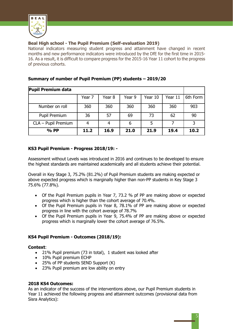

# **Beal High school - The Pupil Premium (Self-evaluation 2019)**

National indicators measuring student progress and attainment have changed in recent months and new performance indicators were introduced by the DfE for the first time in 2015- 16. As a result, it is difficult to compare progress for the 2015-16 Year 11 cohort to the progress of previous cohorts.

| <b>Pupil Premium data</b> |        |        |        |         |         |          |
|---------------------------|--------|--------|--------|---------|---------|----------|
|                           | Year 7 | Year 8 | Year 9 | Year 10 | Year 11 | 6th Form |
| Number on roll            | 360    | 360    | 360    | 360     | 360     | 903      |
| Pupil Premium             | 36     | 57     | 69     | 73      | 62      | 90       |
| CLA - Pupil Premium       |        | 4      | 6      | 5       |         | 3        |
| $%$ PP                    | 11.2   | 16.9   | 21.0   | 21.9    | 19.4    | 10.2     |

# **Summary of number of Pupil Premium (PP) students – 2019/20**

# **KS3 Pupil Premium - Progress 2018/19: -**

Assessment without Levels was introduced in 2016 and continues to be developed to ensure the highest standards are maintained academically and all students achieve their potential.

Overall in Key Stage 3, 75.2% (81.2%) of Pupil Premium students are making expected or above expected progress which is marginally higher than non-PP students in Key Stage 3 75.6% (77.8%).

- Of the Pupil Premium pupils in Year 7, 73.2 % pf PP are making above or expected progress which is higher than the cohort average of 70.4%.
- Of the Pupil Premium pupils in Year 8, 78.1% of PP are making above or expected progress in line with the cohort average of 78.7%
- Of the Pupil Premium pupils in Year 9, 75.4% of PP are making above or expected progress which is marginally lower the cohort average of 76.5%.

# **KS4 Pupil Premium - Outcomes (2018/19):**

### **Context**:

- 21% Pupil premium (73 in total), 1 student was looked after
- 10% Pupil premium ECHP
- 25% of PP students SEND Support (K)
- 23% Pupil premium are low ability on entry

### **2018 KS4 Outcomes:**

As an indicator of the success of the interventions above, our Pupil Premium students in Year 11 achieved the following progress and attainment outcomes (provisional data from Sisra Analytics):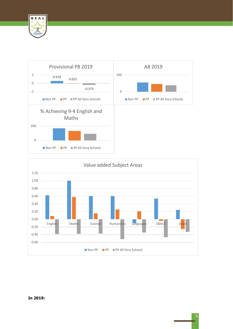





## **In 2019:**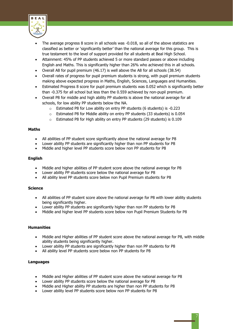

- The average progress 8 score in all schools was -0.018, so all of the above statistics are classified as better or 'significantly better' than the national average for this group. This is true testament to the level of support provided for all students at Beal High School.
- Attainment: 45% of PP students achieved 5 or more standard passes or above including English and Maths. This is significantly higher than 26% who achieved this in all schools.
- Overall A8 for pupil premium (46.17) is well above the A8 for all schools (38.54)
- Overall rates of progress for pupil premium students is strong, with pupil premium students making above expected progress in Maths, English, Sciences, Languages and Humanities.
- Estimated Progress 8 score for pupil premium students was 0.052 which is significantly better than -0.375 for all school but less than the 0.559 achieved by non-pupil premium.
- Overall P8 for middle and high ability PP students is above the national average for all schools, for low ability PP students below the NA.
	- o Estimated P8 for Low ability on entry PP students (6 students) is -0.223
	- o Estimated P8 for Middle ability on entry PP students (33 students) is 0.054
	- o Estimated P8 for High ability on entry PP students (29 students) is 0.109

#### **Maths**

- All abilities of PP student score significantly above the national average for P8
- Lower ability PP students are significantly higher than non PP students for P8
- Middle and higher level PP students score below non PP students for P8

#### **English**

- Middle and higher abilities of PP student score above the national average for P8
- Lower ability PP students score below the national average for P8
- All ability level PP students score below non Pupil Premium students for P8

#### **Science**

- All abilities of PP student score above the national average for P8 with lower ability students being significantly higher.
- Lower ability PP students are significantly higher than non PP students for P8
- Middle and higher level PP students score below non Pupil Premium Students for P8

#### **Humanities**

- Middle and Higher abilities of PP student score above the national average for P8, with middle ability students being significantly higher.
- Lower ability PP students are significantly higher than non PP students for P8
- All ability level PP students score below non PP students for P8

#### **Languages**

- Middle and Higher abilities of PP student score above the national average for P8
- Lower ability PP students score below the national average for P8
- Middle and Higher ability PP students are higher than non PP students for P8
- Lower ability level PP students score below non PP students for P8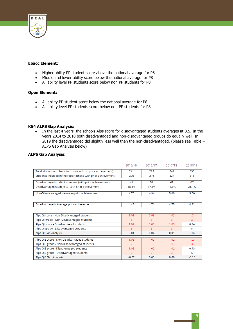

#### **Ebacc Element:**

- Higher ability PP student score above the national average for P8
- Middle and lower ability score below the national average for P8
- All ability level PP students score below non PP students for P8

### **Open Element:**

- All ability PP student score below the national average for P8
- All ability level PP students score below non PP students for P8

#### **KS4 ALPS Gap Analysis:**

• In the last 4 years, the schools Alps score for disadvantaged students averages at 3.5. In the years 2014 to 2018 both disadvantaged and non-disadvantaged groups do equally well. In 2019 the disadvantaged did slightly less well than the non-disadvantaged. (please see Table – ALPS Gap Analysis below)

#### **ALPS Gap Analysis:**

|                                                                | 2015/16        | 2016/17 | 2017/18 | 2018/19 |
|----------------------------------------------------------------|----------------|---------|---------|---------|
| Total student numbers (inc those with no prior achievement)    | 241            | 229     | 347     | 350     |
| Students included in the report (those with prior achievement) | 220            | 216     | 324     | 318     |
| Disadvantaged student numbers (with prior achievement)         | 41             | 37      | 61      | 67      |
| Disadvantaged student % (with prior achievement)               | 18.6%          | 17.1%   | 18.8%   | 21.1%   |
| Non-Disadvantaged - Average prior achievement                  | 4.76           | 4.94    | 5.00    | 5.00    |
|                                                                |                |         |         |         |
| Disadvantaged - Average prior achievement                      | 4.48           | 4.71    | 4.75    | 4.82    |
|                                                                |                |         |         |         |
| Alps QI score - Non-Disadvantaged students                     | 1.01           | 0.99    | 1.02    | 1.01    |
| Alps QI grade - Non-Disadvantaged students                     | 3              | 3       | 3       | 3       |
| Alps QI score - Disadvantaged students                         | 1.02           | 1.03    | 1.03    | 0.94    |
| Alps QI grade - Disadvantaged students                         | В              | 3       | 3       | 5       |
| Alps QI Gap Analysis                                           | 0.01           | 0.04    | 0.01    | $-0.07$ |
| Alps QI8 score - Non-Disadvantaged students                    | 1.05           | 1.02    | 1.02    | 1.03    |
| Alps QI8 grade - Non-Disadvantaged students                    | $\overline{2}$ | 3       | 3       | 3       |
| Alps QI8 score - Disadvantaged students                        | 1.03           | 1.02    | 1.02    | 0.93    |
| Alps QI8 grade - Disadvantaged students                        | 3              | 3       | 3       | 5       |
| Alps QI8 Gap Analysis                                          | $-0.02$        | 0.00    | 0.00    | $-0.10$ |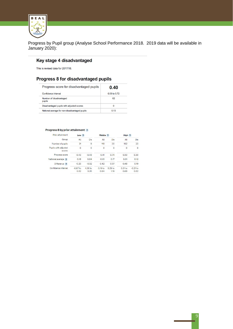

Progress by Pupil group (Analyse School Performance 2018. 2019 data will be available in January 2020):

# Key stage 4 disadvantaged

This is revised data for 2017/18.

# Progress 8 for disadvantaged pupils

| Progress score for disadvantaged pupils       | 0.40           |  |  |
|-----------------------------------------------|----------------|--|--|
| Confidence interval                           | $0.09$ to 0.72 |  |  |
| Number of disadvantaged<br>pupils             | 62             |  |  |
| Disadvantaged pupils with adjusted scores     | 0              |  |  |
| National average for non-disadvantaged pupils | 0.13           |  |  |

#### Progress 8 by prior attainment ?

| Prior attainment               | Low <sub>2</sub>   |                    | Middle ?                   |                            | High ?            |                    |
|--------------------------------|--------------------|--------------------|----------------------------|----------------------------|-------------------|--------------------|
| Group                          | AII                | Dis                | AII                        | Dis                        | AII               | Dis                |
| Number of pupils               | 31                 | 9                  | 118                        | 30                         | 182               | 23                 |
| Pupils with adjusted<br>scores | $\Omega$           | $\Omega$           | $\Omega$                   | $\Omega$                   | $\Omega$          | $\mathbf 0$        |
| Progress score                 | $-0.43$            | $-0.48$            | 0.41                       | 0.74                       | 0.50              | 0.30               |
| National average ?             | $-0.18$            | 0.04               | $-0.01$                    | 0.17                       | 0.01              | 0.12               |
| Difference ?                   | $-0.25$            | $-0.52$            | 0.42                       | 0.57                       | 0.48              | 0.19               |
| Confidence interval            | $-0.87$ to<br>0.02 | $-1.30$ to<br>0.35 | 0.19 <sub>to</sub><br>0.64 | 0.29 <sub>to</sub><br>1.19 | $0.31$ to<br>0.68 | $-0.21$ to<br>0.82 |